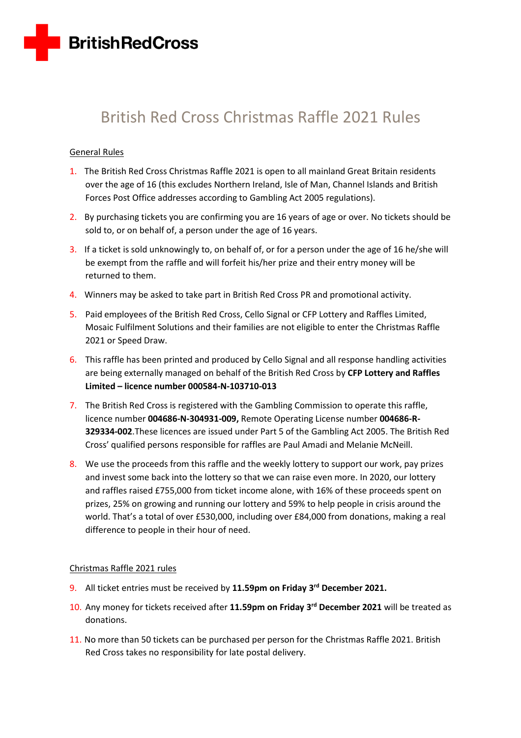

# British Red Cross Christmas Raffle 2021 Rules

## General Rules

- 1. The British Red Cross Christmas Raffle 2021 is open to all mainland Great Britain residents over the age of 16 (this excludes Northern Ireland, Isle of Man, Channel Islands and British Forces Post Office addresses according to Gambling Act 2005 regulations).
- 2. By purchasing tickets you are confirming you are 16 years of age or over. No tickets should be sold to, or on behalf of, a person under the age of 16 years.
- 3. If a ticket is sold unknowingly to, on behalf of, or for a person under the age of 16 he/she will be exempt from the raffle and will forfeit his/her prize and their entry money will be returned to them.
- 4. Winners may be asked to take part in British Red Cross PR and promotional activity.
- 5. Paid employees of the British Red Cross, Cello Signal or CFP Lottery and Raffles Limited, Mosaic Fulfilment Solutions and their families are not eligible to enter the Christmas Raffle 2021 or Speed Draw.
- 6. This raffle has been printed and produced by Cello Signal and all response handling activities are being externally managed on behalf of the British Red Cross by **CFP Lottery and Raffles Limited – licence number 000584-N-103710-013**
- 7. The British Red Cross is registered with the Gambling Commission to operate this raffle, licence number **004686-N-304931-009,** Remote Operating License number **004686-R-329334-002**.These licences are issued under Part 5 of the Gambling Act 2005. The British Red Cross' qualified persons responsible for raffles are Paul Amadi and Melanie McNeill.
- 8. We use the proceeds from this raffle and the weekly lottery to support our work, pay prizes and invest some back into the lottery so that we can raise even more. In 2020, our lottery and raffles raised £755,000 from ticket income alone, with 16% of these proceeds spent on prizes, 25% on growing and running our lottery and 59% to help people in crisis around the world. That's a total of over £530,000, including over £84,000 from donations, making a real difference to people in their hour of need.

### Christmas Raffle 2021 rules

- 9. All ticket entries must be received by **11.59pm on Friday 3 rd December 2021.**
- 10. Any money for tickets received after **11.59pm on Friday 3 rd December 2021** will be treated as donations.
- 11. No more than 50 tickets can be purchased per person for the Christmas Raffle 2021. British Red Cross takes no responsibility for late postal delivery.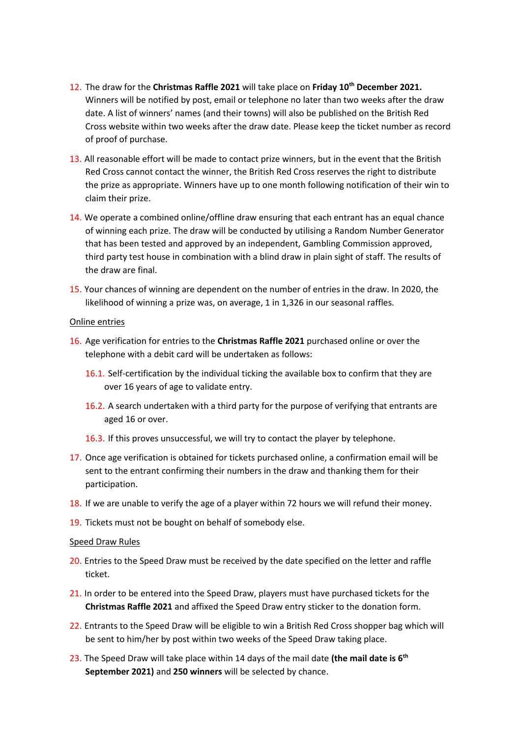- 12. The draw for the **Christmas Raffle 2021** will take place on **Friday 10th December 2021.** Winners will be notified by post, email or telephone no later than two weeks after the draw date. A list of winners' names (and their towns) will also be published on the British Red Cross website within two weeks after the draw date. Please keep the ticket number as record of proof of purchase.
- 13. All reasonable effort will be made to contact prize winners, but in the event that the British Red Cross cannot contact the winner, the British Red Cross reserves the right to distribute the prize as appropriate. Winners have up to one month following notification of their win to claim their prize.
- 14. We operate a combined online/offline draw ensuring that each entrant has an equal chance of winning each prize. The draw will be conducted by utilising a Random Number Generator that has been tested and approved by an independent, Gambling Commission approved, third party test house in combination with a blind draw in plain sight of staff. The results of the draw are final.
- 15. Your chances of winning are dependent on the number of entries in the draw. In 2020, the likelihood of winning a prize was, on average, 1 in 1,326 in our seasonal raffles.

#### Online entries

- 16. Age verification for entries to the **Christmas Raffle 2021** purchased online or over the telephone with a debit card will be undertaken as follows:
	- 16.1. Self-certification by the individual ticking the available box to confirm that they are over 16 years of age to validate entry.
	- 16.2. A search undertaken with a third party for the purpose of verifying that entrants are aged 16 or over.
	- 16.3. If this proves unsuccessful, we will try to contact the player by telephone.
- 17. Once age verification is obtained for tickets purchased online, a confirmation email will be sent to the entrant confirming their numbers in the draw and thanking them for their participation.
- 18. If we are unable to verify the age of a player within 72 hours we will refund their money.
- 19. Tickets must not be bought on behalf of somebody else.

#### Speed Draw Rules

- 20. Entries to the Speed Draw must be received by the date specified on the letter and raffle ticket.
- 21. In order to be entered into the Speed Draw, players must have purchased tickets for the **Christmas Raffle 2021** and affixed the Speed Draw entry sticker to the donation form.
- 22. Entrants to the Speed Draw will be eligible to win a British Red Cross shopper bag which will be sent to him/her by post within two weeks of the Speed Draw taking place.
- 23. The Speed Draw will take place within 14 days of the mail date **(the mail date is 6 th September 2021)** and **250 winners** will be selected by chance.